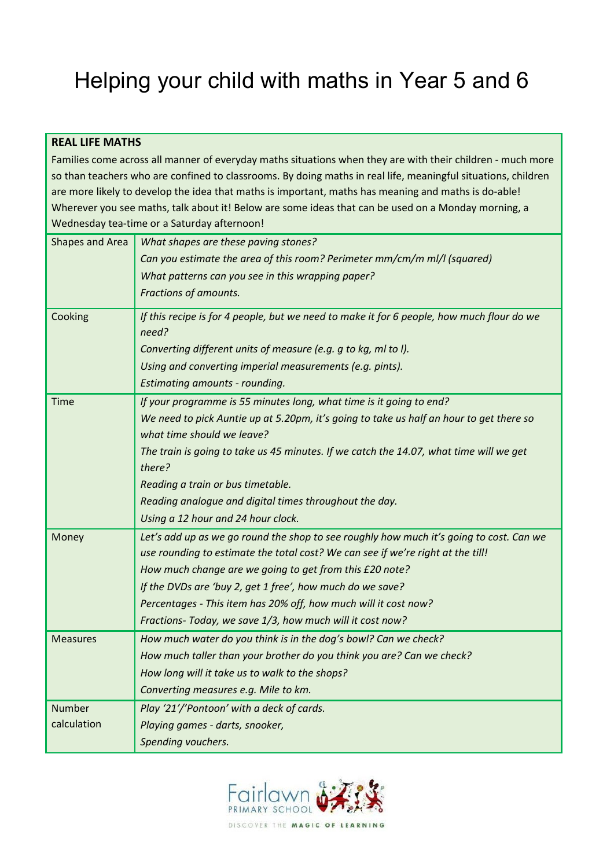# Helping your child with maths in Year 5 and 6

## **REAL LIFE MATHS**

Families come across all manner of everyday maths situations when they are with their children - much more so than teachers who are confined to classrooms. By doing maths in real life, meaningful situations, children are more likely to develop the idea that maths is important, maths has meaning and maths is do-able! Wherever you see maths, talk about it! Below are some ideas that can be used on a Monday morning, a Wednesday tea-time or a Saturday afternoon!

| Shapes and Area | What shapes are these paving stones?                                                                                                                                       |
|-----------------|----------------------------------------------------------------------------------------------------------------------------------------------------------------------------|
|                 | Can you estimate the area of this room? Perimeter mm/cm/m ml/l (squared)                                                                                                   |
|                 | What patterns can you see in this wrapping paper?                                                                                                                          |
|                 | Fractions of amounts.                                                                                                                                                      |
| Cooking         | If this recipe is for 4 people, but we need to make it for 6 people, how much flour do we<br>need?                                                                         |
|                 | Converting different units of measure (e.g. g to kg, ml to I).                                                                                                             |
|                 | Using and converting imperial measurements (e.g. pints).                                                                                                                   |
|                 | Estimating amounts - rounding.                                                                                                                                             |
| <b>Time</b>     | If your programme is 55 minutes long, what time is it going to end?                                                                                                        |
|                 | We need to pick Auntie up at 5.20pm, it's going to take us half an hour to get there so<br>what time should we leave?                                                      |
|                 | The train is going to take us 45 minutes. If we catch the 14.07, what time will we get                                                                                     |
|                 | there?                                                                                                                                                                     |
|                 | Reading a train or bus timetable.                                                                                                                                          |
|                 | Reading analogue and digital times throughout the day.                                                                                                                     |
|                 | Using a 12 hour and 24 hour clock.                                                                                                                                         |
| Money           | Let's add up as we go round the shop to see roughly how much it's going to cost. Can we<br>use rounding to estimate the total cost? We can see if we're right at the till! |
|                 | How much change are we going to get from this £20 note?                                                                                                                    |
|                 | If the DVDs are 'buy 2, get 1 free', how much do we save?                                                                                                                  |
|                 | Percentages - This item has 20% off, how much will it cost now?                                                                                                            |
|                 | Fractions- Today, we save 1/3, how much will it cost now?                                                                                                                  |
| <b>Measures</b> | How much water do you think is in the dog's bowl? Can we check?                                                                                                            |
|                 | How much taller than your brother do you think you are? Can we check?                                                                                                      |
|                 | How long will it take us to walk to the shops?                                                                                                                             |
|                 | Converting measures e.g. Mile to km.                                                                                                                                       |
| <b>Number</b>   | Play '21'/'Pontoon' with a deck of cards.                                                                                                                                  |
| calculation     | Playing games - darts, snooker,                                                                                                                                            |
|                 | Spending vouchers.                                                                                                                                                         |

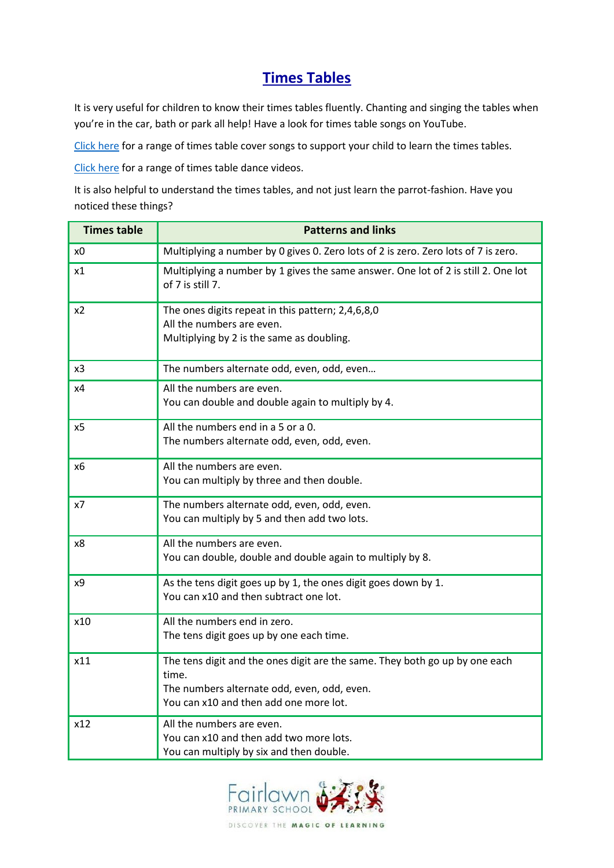# **Times Tables**

It is very useful for children to know their times tables fluently. Chanting and singing the tables when you're in the car, bath or park all help! Have a look for times table songs on YouTube.

[Click here](https://www.youtube.com/playlist?list=PLvMC7Wzm1mIF8CDTl1-QPgQGXVPAK-7lL) for a range of times table cover songs to support your child to learn the times tables.

[Click here](https://www.youtube.com/playlist?list=PLvMC7Wzm1mIFNODL7AW8WGHfTgJsKYZPv) for a range of times table dance videos.

It is also helpful to understand the times tables, and not just learn the parrot-fashion. Have you noticed these things?

| <b>Times table</b> | <b>Patterns and links</b>                                                                                                                                                     |  |  |  |
|--------------------|-------------------------------------------------------------------------------------------------------------------------------------------------------------------------------|--|--|--|
| x0                 | Multiplying a number by 0 gives 0. Zero lots of 2 is zero. Zero lots of 7 is zero.                                                                                            |  |  |  |
| x1                 | Multiplying a number by 1 gives the same answer. One lot of 2 is still 2. One lot<br>of 7 is still 7.                                                                         |  |  |  |
| x <sub>2</sub>     | The ones digits repeat in this pattern; 2,4,6,8,0<br>All the numbers are even.<br>Multiplying by 2 is the same as doubling.                                                   |  |  |  |
| x3                 | The numbers alternate odd, even, odd, even                                                                                                                                    |  |  |  |
| x4                 | All the numbers are even.<br>You can double and double again to multiply by 4.                                                                                                |  |  |  |
| x5                 | All the numbers end in a 5 or a 0.<br>The numbers alternate odd, even, odd, even.                                                                                             |  |  |  |
| x6                 | All the numbers are even.<br>You can multiply by three and then double.                                                                                                       |  |  |  |
| x7                 | The numbers alternate odd, even, odd, even.<br>You can multiply by 5 and then add two lots.                                                                                   |  |  |  |
| x8                 | All the numbers are even.<br>You can double, double and double again to multiply by 8.                                                                                        |  |  |  |
| x9                 | As the tens digit goes up by 1, the ones digit goes down by 1.<br>You can x10 and then subtract one lot.                                                                      |  |  |  |
| x10                | All the numbers end in zero.<br>The tens digit goes up by one each time.                                                                                                      |  |  |  |
| x11                | The tens digit and the ones digit are the same. They both go up by one each<br>time.<br>The numbers alternate odd, even, odd, even.<br>You can x10 and then add one more lot. |  |  |  |
| x12                | All the numbers are even.<br>You can x10 and then add two more lots.<br>You can multiply by six and then double.                                                              |  |  |  |

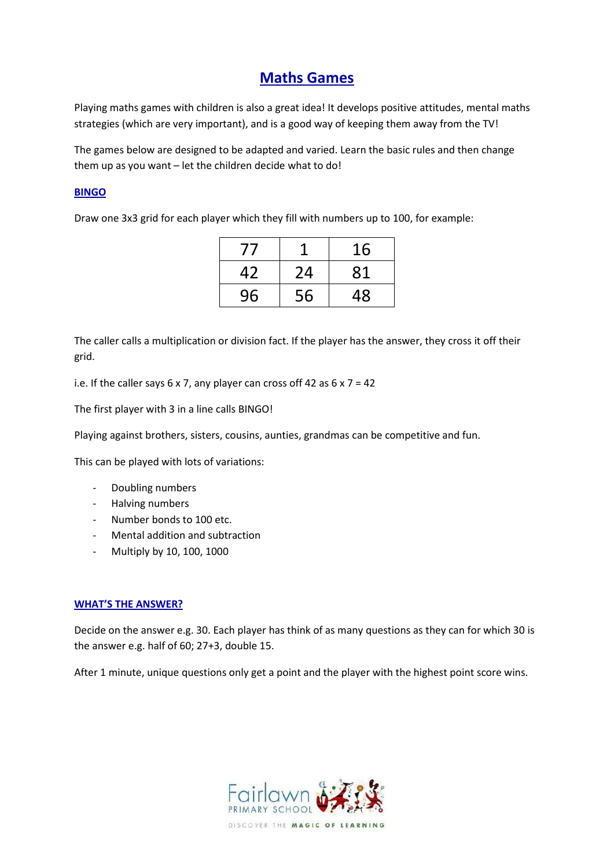# **Maths Games**

Playing maths games with children is also a great idea! It develops positive attitudes, mental maths strategies (which are very important), and is a good way of keeping them away from the TV!

The games below are designed to be adapted and varied. Learn the basic rules and then change them up as you want – let the children decide what to do!

### **BINGO**

Draw one 3x3 grid for each player which they fill with numbers up to 100, for example:

| $^{\prime}$ |    | 16 |
|-------------|----|----|
| 42          | 24 | 81 |
| 96          | 56 | 48 |

The caller calls a multiplication or division fact. If the player has the answer, they cross it off their grid.

i.e. If the caller says 6 x 7, any player can cross off 42 as  $6 \times 7 = 42$ 

The first player with 3 in a line calls BINGO!

Playing against brothers, sisters, cousins, aunties, grandmas can be competitive and fun.

This can be played with lots of variations:

- Doubling numbers
- Halving numbers
- Number bonds to 100 etc.
- Mental addition and subtraction
- Multiply by 10, 100, 1000

#### **WHAT'S THE ANSWER?**

Decide on the answer e.g. 30. Each player has think of as many questions as they can for which 30 is the answer e.g. half of 60; 27+3, double 15.

After 1 minute, unique questions only get a point and the player with the highest point score wins.

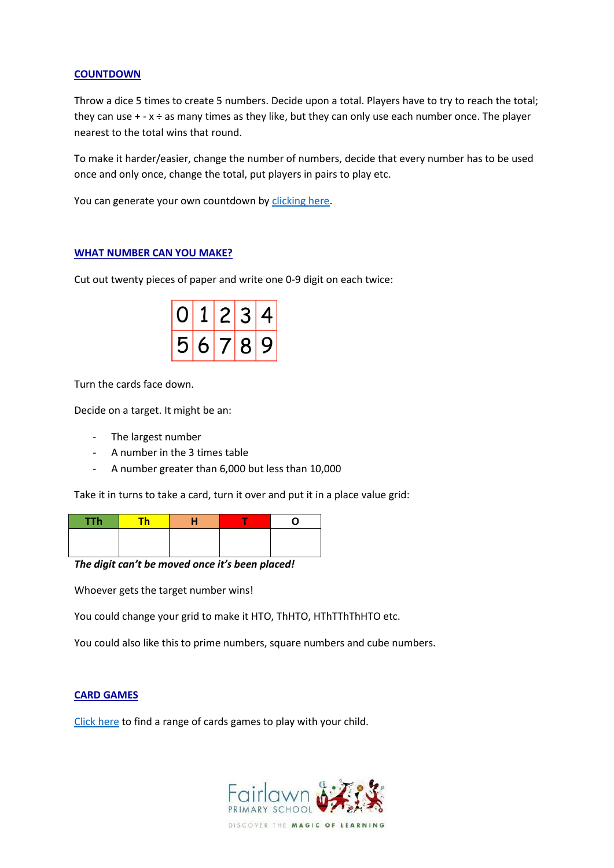#### **COUNTDOWN**

Throw a dice 5 times to create 5 numbers. Decide upon a total. Players have to try to reach the total; they can use  $+ - x \div a$  as many times as they like, but they can only use each number once. The player nearest to the total wins that round.

To make it harder/easier, change the number of numbers, decide that every number has to be used once and only once, change the total, put players in pairs to play etc.

You can generate your own countdown b[y clicking here.](http://www.maths-resources.com/countdown/practise.html#numbers)

#### **WHAT NUMBER CAN YOU MAKE?**

Cut out twenty pieces of paper and write one 0-9 digit on each twice:

| $\mathbf{1}$ | 2 3 |  |
|--------------|-----|--|
| 56789        |     |  |

Turn the cards face down.

Decide on a target. It might be an:

- The largest number
- A number in the 3 times table
- A number greater than 6,000 but less than 10,000

Take it in turns to take a card, turn it over and put it in a place value grid:

| <b>TTh</b> | <b>Th</b> |  |  |
|------------|-----------|--|--|
|            |           |  |  |
|            |           |  |  |

*The digit can't be moved once it's been placed!*

Whoever gets the target number wins!

You could change your grid to make it HTO, ThHTO, HThTThThHTO etc.

You could also like this to prime numbers, square numbers and cube numbers.

#### **CARD GAMES**

[Click here](https://www.weareteachers.com/math-card-games/) to find a range of cards games to play with your child.